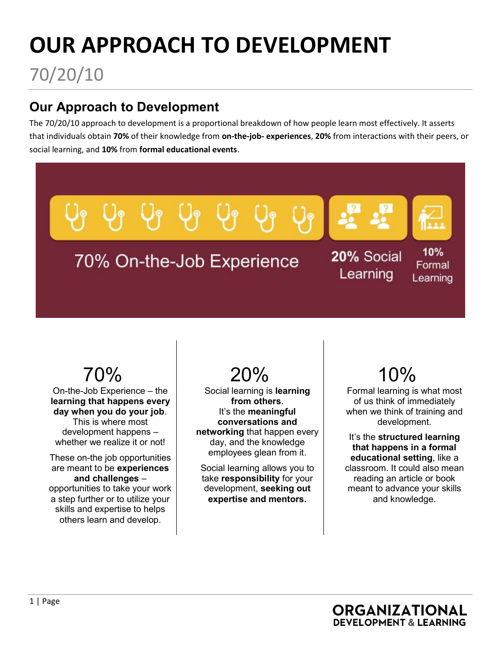# OUR APPROACH TO DEVELOPMENT

70/20/10

### Our Approach to Development

The 70/20/10 approach to development is a proportional breakdown of how people learn most effectively. It asserts that individuals obtain 70% of their knowledge from on-the-job- experiences, 20% from interactions with their peers, or social learning, and 10% from formal educational events.



On-the-Job Experience – the learning that happens every day when you do your job. This is where most development happens – whether we realize it or not!

These on-the job opportunities are meant to be experiences and challenges – opportunities to take your work a step further or to utilize your skills and expertise to helps others learn and develop.



Social learning is learning from others. It's the meaningful conversations and networking that happen every day, and the knowledge employees glean from it.

Social learning allows you to take responsibility for your development, seeking out expertise and mentors.

Formal learning is what most of us think of immediately when we think of training and development.

It's the structured learning that happens in a formal educational setting, like a classroom. It could also mean reading an article or book meant to advance your skills and knowledge.